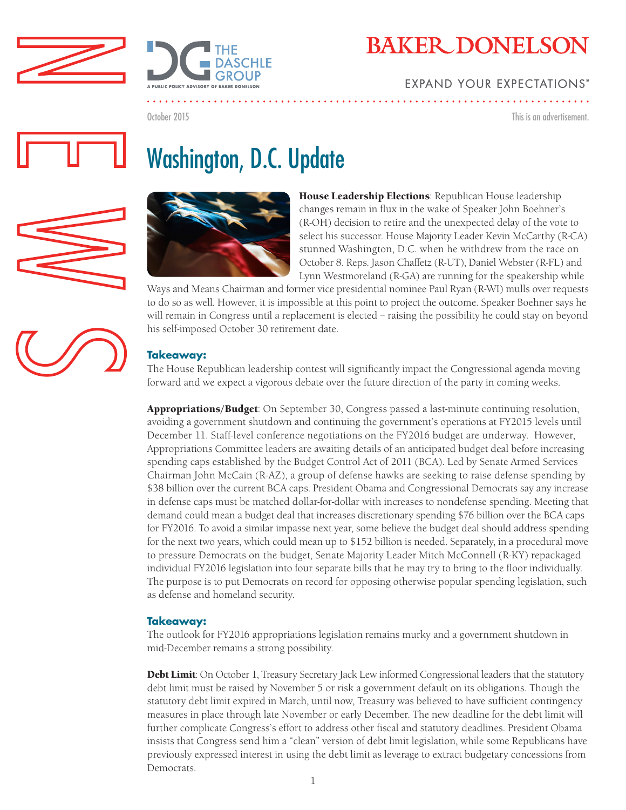



# **EXPAND YOUR EXPECTATIONS\***

October 2015

This is an advertisement.

# Washington, D.C. Update





House Leadership Elections: Republican House leadership changes remain in flux in the wake of Speaker John Boehner's (R-OH) decision to retire and the unexpected delay of the vote to select his successor. House Majority Leader Kevin McCarthy (R-CA) stunned Washington, D.C. when he withdrew from the race on October 8. Reps. Jason Chaffetz (R-UT), Daniel Webster (R-FL) and Lynn Westmoreland (R-GA) are running for the speakership while

Ways and Means Chairman and former vice presidential nominee Paul Ryan (R-WI) mulls over requests to do so as well. However, it is impossible at this point to project the outcome. Speaker Boehner says he will remain in Congress until a replacement is elected – raising the possibility he could stay on beyond his self-imposed October 30 retirement date.

### **Takeaway:**

The House Republican leadership contest will significantly impact the Congressional agenda moving forward and we expect a vigorous debate over the future direction of the party in coming weeks.

Appropriations/Budget: On September 30, Congress passed a last-minute continuing resolution, avoiding a government shutdown and continuing the government's operations at FY2015 levels until December 11. Staff-level conference negotiations on the FY2016 budget are underway. However, Appropriations Committee leaders are awaiting details of an anticipated budget deal before increasing spending caps established by the Budget Control Act of 2011 (BCA). Led by Senate Armed Services Chairman John McCain (R-AZ), a group of defense hawks are seeking to raise defense spending by \$38 billion over the current BCA caps. President Obama and Congressional Democrats say any increase in defense caps must be matched dollar-for-dollar with increases to nondefense spending. Meeting that demand could mean a budget deal that increases discretionary spending \$76 billion over the BCA caps for FY2016. To avoid a similar impasse next year, some believe the budget deal should address spending for the next two years, which could mean up to \$152 billion is needed. Separately, in a procedural move to pressure Democrats on the budget, Senate Majority Leader Mitch McConnell (R-KY) repackaged individual FY2016 legislation into four separate bills that he may try to bring to the floor individually. The purpose is to put Democrats on record for opposing otherwise popular spending legislation, such as defense and homeland security.

#### **Takeaway:**

The outlook for FY2016 appropriations legislation remains murky and a government shutdown in mid-December remains a strong possibility.

**Debt Limit:** On October 1, Treasury Secretary Jack Lew informed Congressional leaders that the statutory debt limit must be raised by November 5 or risk a government default on its obligations. Though the statutory debt limit expired in March, until now, Treasury was believed to have sufficient contingency measures in place through late November or early December. The new deadline for the debt limit will further complicate Congress's effort to address other fiscal and statutory deadlines. President Obama insists that Congress send him a "clean" version of debt limit legislation, while some Republicans have previously expressed interest in using the debt limit as leverage to extract budgetary concessions from **Democrats**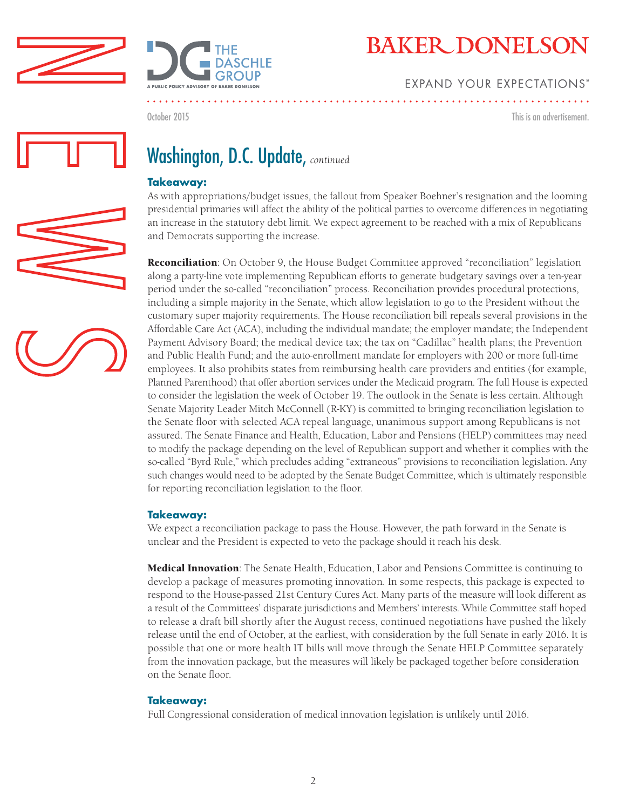



## **EXPAND YOUR EXPECTATIONS'**

October 2015

This is an advertisement.

# Washington, D.C. Update, *continued*

### **Takeaway:**

As with appropriations/budget issues, the fallout from Speaker Boehner's resignation and the looming presidential primaries will affect the ability of the political parties to overcome differences in negotiating an increase in the statutory debt limit. We expect agreement to be reached with a mix of Republicans and Democrats supporting the increase.

**Reconciliation**: On October 9, the House Budget Committee approved "reconciliation" legislation along a party-line vote implementing Republican efforts to generate budgetary savings over a ten-year period under the so-called "reconciliation" process. Reconciliation provides procedural protections, including a simple majority in the Senate, which allow legislation to go to the President without the customary super majority requirements. The House reconciliation bill repeals several provisions in the Affordable Care Act (ACA), including the individual mandate; the employer mandate; the Independent Payment Advisory Board; the medical device tax; the tax on "Cadillac" health plans; the Prevention and Public Health Fund; and the auto-enrollment mandate for employers with 200 or more full-time employees. It also prohibits states from reimbursing health care providers and entities (for example, Planned Parenthood) that offer abortion services under the Medicaid program. The full House is expected to consider the legislation the week of October 19. The outlook in the Senate is less certain. Although Senate Majority Leader Mitch McConnell (R-KY) is committed to bringing reconciliation legislation to the Senate floor with selected ACA repeal language, unanimous support among Republicans is not assured. The Senate Finance and Health, Education, Labor and Pensions (HELP) committees may need to modify the package depending on the level of Republican support and whether it complies with the so-called "Byrd Rule," which precludes adding "extraneous" provisions to reconciliation legislation. Any such changes would need to be adopted by the Senate Budget Committee, which is ultimately responsible for reporting reconciliation legislation to the floor.

### **Takeaway:**

We expect a reconciliation package to pass the House. However, the path forward in the Senate is unclear and the President is expected to veto the package should it reach his desk.

Medical Innovation: The Senate Health, Education, Labor and Pensions Committee is continuing to develop a package of measures promoting innovation. In some respects, this package is expected to respond to the House-passed 21st Century Cures Act. Many parts of the measure will look different as a result of the Committees' disparate jurisdictions and Members' interests. While Committee staff hoped to release a draft bill shortly after the August recess, continued negotiations have pushed the likely release until the end of October, at the earliest, with consideration by the full Senate in early 2016. It is possible that one or more health IT bills will move through the Senate HELP Committee separately from the innovation package, but the measures will likely be packaged together before consideration on the Senate floor.

#### **Takeaway:**

Full Congressional consideration of medical innovation legislation is unlikely until 2016.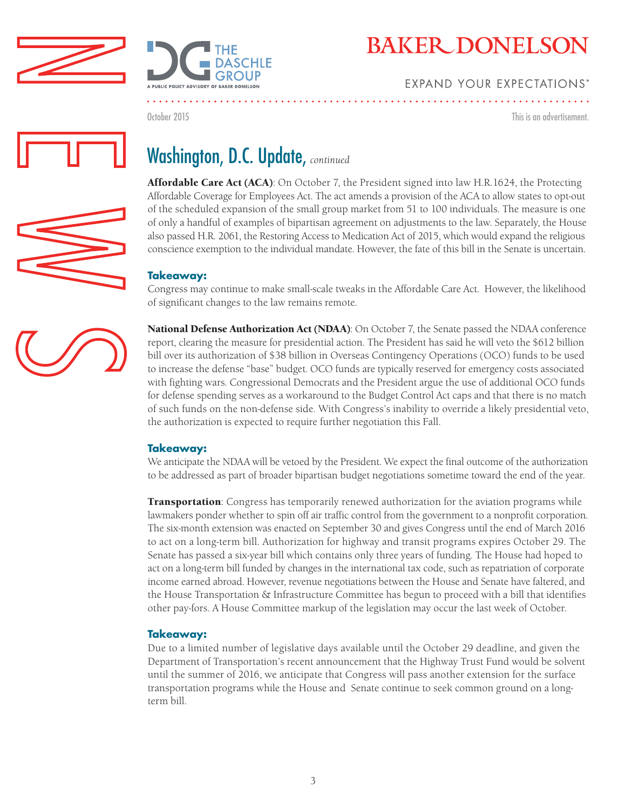



## **EXPAND YOUR EXPECTATIONS'**

October 2015

This is an advertisement.



# Washington, D.C. Update, *continued*

Affordable Care Act (ACA): On October 7, the President signed into law H.R.1624, the Protecting Affordable Coverage for Employees Act. The act amends a provision of the ACA to allow states to opt-out of the scheduled expansion of the small group market from 51 to 100 individuals. The measure is one of only a handful of examples of bipartisan agreement on adjustments to the law. Separately, the House also passed H.R. 2061, the Restoring Access to Medication Act of 2015, which would expand the religious conscience exemption to the individual mandate. However, the fate of this bill in the Senate is uncertain.

### **Takeaway:**

Congress may continue to make small-scale tweaks in the Affordable Care Act. However, the likelihood of significant changes to the law remains remote.



National Defense Authorization Act (NDAA): On October 7, the Senate passed the NDAA conference report, clearing the measure for presidential action. The President has said he will veto the \$612 billion bill over its authorization of \$38 billion in Overseas Contingency Operations (OCO) funds to be used to increase the defense "base" budget. OCO funds are typically reserved for emergency costs associated with fighting wars. Congressional Democrats and the President argue the use of additional OCO funds for defense spending serves as a workaround to the Budget Control Act caps and that there is no match of such funds on the non-defense side. With Congress's inability to override a likely presidential veto, the authorization is expected to require further negotiation this Fall.

### **Takeaway:**

We anticipate the NDAA will be vetoed by the President. We expect the final outcome of the authorization to be addressed as part of broader bipartisan budget negotiations sometime toward the end of the year.

**Transportation**: Congress has temporarily renewed authorization for the aviation programs while lawmakers ponder whether to spin off air traffic control from the government to a nonprofit corporation. The six-month extension was enacted on September 30 and gives Congress until the end of March 2016 to act on a long-term bill. Authorization for highway and transit programs expires October 29. The Senate has passed a six-year bill which contains only three years of funding. The House had hoped to act on a long-term bill funded by changes in the international tax code, such as repatriation of corporate income earned abroad. However, revenue negotiations between the House and Senate have faltered, and the House Transportation & Infrastructure Committee has begun to proceed with a bill that identifies other pay-fors. A House Committee markup of the legislation may occur the last week of October.

### **Takeaway:**

Due to a limited number of legislative days available until the October 29 deadline, and given the Department of Transportation's recent announcement that the Highway Trust Fund would be solvent until the summer of 2016, we anticipate that Congress will pass another extension for the surface transportation programs while the House and Senate continue to seek common ground on a longterm bill.